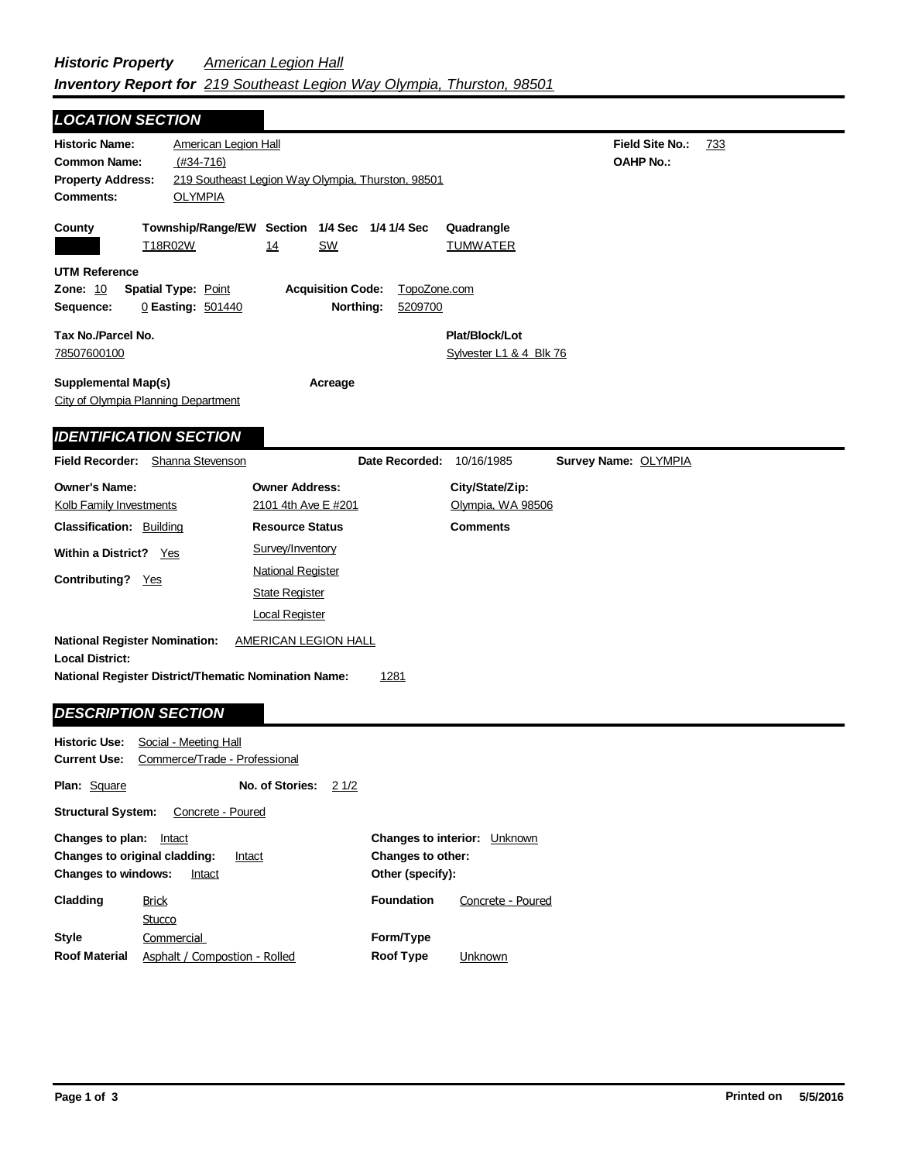| <b>LOCATION SECTION</b>                                                                                                                                      |                                                                            |                                            |     |
|--------------------------------------------------------------------------------------------------------------------------------------------------------------|----------------------------------------------------------------------------|--------------------------------------------|-----|
| <b>Historic Name:</b><br><b>American Legion Hall</b><br>$(#34-716)$<br><b>Common Name:</b><br><b>Property Address:</b><br><b>Comments:</b><br><b>OLYMPIA</b> | 219 Southeast Legion Way Olympia, Thurston, 98501                          | <b>Field Site No.:</b><br><b>OAHP No.:</b> | 733 |
| County<br>T18R02W                                                                                                                                            | Township/Range/EW Section 1/4 Sec 1/4 1/4 Sec<br><b>SW</b><br>14           | Quadrangle<br><b>TUMWATER</b>              |     |
| <b>UTM Reference</b><br><b>Spatial Type: Point</b><br>Zone: <u>10</u><br>Sequence:<br>0 Easting: 501440                                                      | <b>Acquisition Code:</b><br>TopoZone.com<br>Northing:<br>5209700           |                                            |     |
| Tax No./Parcel No.<br>78507600100                                                                                                                            |                                                                            | Plat/Block/Lot<br>Sylvester L1 & 4 Blk 76  |     |
| <b>Supplemental Map(s)</b><br>City of Olympia Planning Department                                                                                            | Acreage                                                                    |                                            |     |
| <b>IDENTIFICATION SECTION</b>                                                                                                                                |                                                                            |                                            |     |
| Field Recorder:<br>Shanna Stevenson                                                                                                                          | Date Recorded:                                                             | 10/16/1985<br>Survey Name: OLYMPIA         |     |
| <b>Owner's Name:</b><br>Kolb Family Investments                                                                                                              | <b>Owner Address:</b><br>2101 4th Ave E #201                               | City/State/Zip:<br>Olympia, WA 98506       |     |
| <b>Classification: Building</b>                                                                                                                              | <b>Resource Status</b>                                                     | <b>Comments</b>                            |     |
| Within a District? Yes                                                                                                                                       | Survey/Inventory                                                           |                                            |     |
| Contributing? Yes                                                                                                                                            | <b>National Register</b><br><b>State Register</b><br><b>Local Register</b> |                                            |     |
| <b>National Register Nomination:</b><br><b>Local District:</b><br><b>National Register District/Thematic Nomination Name:</b>                                | <b>AMERICAN LEGION HALL</b><br>1281                                        |                                            |     |
| <b>DESCRIPTION SECTION</b>                                                                                                                                   |                                                                            |                                            |     |
| Historic Use:<br>Social - Meeting Hall<br>Commerce/Trade - Professional<br>Current Use:                                                                      |                                                                            |                                            |     |
| Plan: Square                                                                                                                                                 | No. of Stories:<br>21/2                                                    |                                            |     |
| <b>Structural System:</b><br>Concrete - Poured                                                                                                               |                                                                            |                                            |     |
| Changes to plan: Intact<br>Changes to original cladding:<br><u>Intact</u><br><b>Changes to windows:</b><br>Intact                                            | Changes to other:<br>Other (specify):                                      | Changes to interior: Unknown               |     |
| Cladding<br><b>Brick</b>                                                                                                                                     | Foundation                                                                 | Concrete - Poured                          |     |

|                      | Stucco                        |                  |         |
|----------------------|-------------------------------|------------------|---------|
| <b>Style</b>         | Commercial                    | Form/Type        |         |
| <b>Roof Material</b> | Asphalt / Compostion - Rolled | <b>Roof Type</b> | Unknown |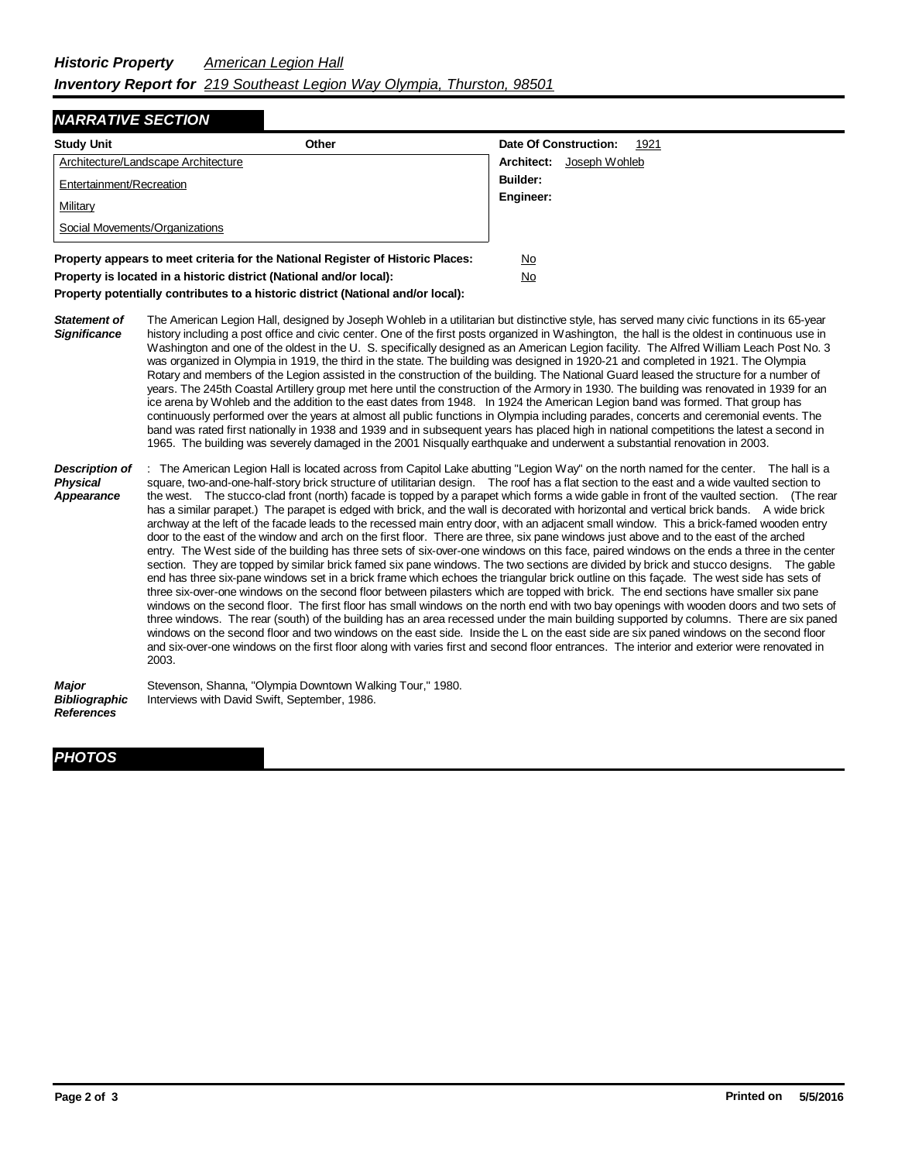## *NARRATIVE SECTION*

| <b>Study Unit</b>                                                                | Other |                 | <b>Date Of Construction:</b> | 1921 |
|----------------------------------------------------------------------------------|-------|-----------------|------------------------------|------|
| Architecture/Landscape Architecture                                              |       | Architect:      | Joseph Wohleb                |      |
| Entertainment/Recreation                                                         |       | <b>Builder:</b> |                              |      |
| Military                                                                         |       | Engineer:       |                              |      |
| Social Movements/Organizations                                                   |       |                 |                              |      |
| Property appears to meet criteria for the National Register of Historic Places:  |       | No              |                              |      |
| Property is located in a historic district (National and/or local):              |       | No              |                              |      |
| Property potentially contributes to a historic district (National and/or local): |       |                 |                              |      |

*Statement of Significance* The American Legion Hall, designed by Joseph Wohleb in a utilitarian but distinctive style, has served many civic functions in its 65-year history including a post office and civic center. One of the first posts organized in Washington, the hall is the oldest in continuous use in Washington and one of the oldest in the U. S. specifically designed as an American Legion facility. The Alfred William Leach Post No. 3 was organized in Olympia in 1919, the third in the state. The building was designed in 1920-21 and completed in 1921. The Olympia Rotary and members of the Legion assisted in the construction of the building. The National Guard leased the structure for a number of years. The 245th Coastal Artillery group met here until the construction of the Armory in 1930. The building was renovated in 1939 for an ice arena by Wohleb and the addition to the east dates from 1948. In 1924 the American Legion band was formed. That group has continuously performed over the years at almost all public functions in Olympia including parades, concerts and ceremonial events. The band was rated first nationally in 1938 and 1939 and in subsequent years has placed high in national competitions the latest a second in 1965. The building was severely damaged in the 2001 Nisqually earthquake and underwent a substantial renovation in 2003.

*Description of Physical Appearance* : The American Legion Hall is located across from Capitol Lake abutting "Legion Way" on the north named for the center. The hall is a square, two-and-one-half-story brick structure of utilitarian design. The roof has a flat section to the east and a wide vaulted section to the west. The stucco-clad front (north) facade is topped by a parapet which forms a wide gable in front of the vaulted section. (The rear has a similar parapet.) The parapet is edged with brick, and the wall is decorated with horizontal and vertical brick bands. A wide brick archway at the left of the facade leads to the recessed main entry door, with an adjacent small window. This a brick-famed wooden entry door to the east of the window and arch on the first floor. There are three, six pane windows just above and to the east of the arched entry. The West side of the building has three sets of six-over-one windows on this face, paired windows on the ends a three in the center section. They are topped by similar brick famed six pane windows. The two sections are divided by brick and stucco designs. The gable end has three six-pane windows set in a brick frame which echoes the triangular brick outline on this façade. The west side has sets of three six-over-one windows on the second floor between pilasters which are topped with brick. The end sections have smaller six pane windows on the second floor. The first floor has small windows on the north end with two bay openings with wooden doors and two sets of three windows. The rear (south) of the building has an area recessed under the main building supported by columns. There are six paned windows on the second floor and two windows on the east side. Inside the L on the east side are six paned windows on the second floor and six-over-one windows on the first floor along with varies first and second floor entrances. The interior and exterior were renovated in 2003.

| <b>Major</b>      | Stevenson, Shanna, "Olympia Downtown Walking Tour," 1980. |
|-------------------|-----------------------------------------------------------|
| Bibliographic     | Interviews with David Swift, September, 1986.             |
| <b>References</b> |                                                           |

## *PHOTOS*